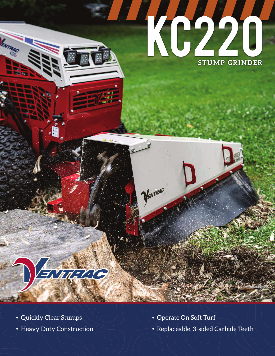

## ENURTIG

• Quickly Clear Stumps  $\setminus$   $\setminus$   $\setminus$   $\setminus$   $\setminus$   $\setminus$   $\setminus$   $\setminus$   $\setminus$   $\setminus$   $\setminus$   $\setminus$   $\setminus$   $\setminus$   $\setminus$   $\setminus$   $\setminus$   $\setminus$   $\setminus$   $\setminus$   $\setminus$   $\setminus$   $\setminus$   $\setminus$   $\setminus$   $\setminus$   $\setminus$   $\setminus$   $\setminus$   $\setminus$   $\setminus$   $\setminus$   $\setminus$ 

**ENTRAC** 

DENTRAC

• Heavy Duty Construction • Replaceable, 3-sided Carbide Teeth